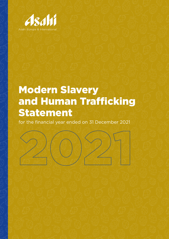

# Modern Slavery and Human Trafficking Statement

for the financial year ended on 31 December 2021

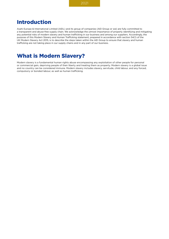# Introduction

Asahi Europe & International Limited (AEIL) and its group of companies (AEI Group or we) are fully committed to a transparent and abuse-free supply chain. We acknowledge the utmost importance of properly identifying and mitigating any potential risks of modern slavery and human trafficking in our business and among our suppliers. Accordingly, the purpose of this Modern Slavery and Human Trafficking statement, prepared in accordance with section 54(1) of the UK Modern Slavery Act 2015, is to describe the steps taken within the AEI Group to ensure that slavery and human trafficking are not taking place in our supply chains and in any part of our business.

# What is Modern Slavery?

Modern slavery is a fundamental human rights abuse encompassing any exploitation of other people for personal or commercial gain, depriving people of their liberty and treating them as property. Modern slavery is a global issue and no country can be considered immune. Modern slavery includes slavery, servitude, child labour, and any forced, compulsory or bonded labour, as well as human trafficking.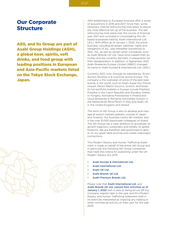## Our Corporate Structure

AEIL and its Group are part of Asahi Group Holdings (AGH), a global beer, spirits, soft drinks, and food group with leading positions in European and Asia-Pacific markets listed on the Tokyo Stock Exchange, Japan.





AGH established its European business after a series of acquisitions in 2016 and 2017. Since then, some necessary internal restructuring took place to assure the most effective set-up of the business. The last restructuring took place over the course of financial year 2021 and consisted in consolidating the UKbased businesses held by Asahi International Ltd. (AIL). With effect as of January 1, 2022, the entire business, including all assets, liabilities, rights and obligations of AIL, was thereafter transferred to AEIL. AIL, as well as certain other companies, such as Asahi Brands UK Ltd., have since ceased their activities and are currently dormant, in preparation for their deregistration. In addition, in September 2021, Asahi Breweries Europe Limited (ABEG) changed its name to Asahi Europe & International Ltd. (AEIL).

Currently, AEIL runs, through its subsidiaries, 19 production facilities in 8 countries across Europe. The company is the custodian of some of the best beer brands in the world, such as Asahi Super Dry, Pilsner Urquell, Peroni Nastro Azzurro, Grolsch, and Kozel. Its full-portfolio markets in Europe include Plzeňský Prazdroj in the Czech Republic and Slovakia, Dreher in Hungary, Kompania Piwowarska in Poland and Ursus Breweries in Romania, Koninklijke Grolsch in the Netherlands, Birra Peroni in Italy and Asahi UK in the United Kingdom and Ireland.

The remit of AEI Group is also to develop and manage all export markets globally, outside of Japan and Oceania. Our business covers 90 markets, and it has over 10,000 passionate colleagues on board. The AEI Group has a clear ambition to accelerate its growth trajectory sustainably and solidify its global footprint. We are therefore well-positioned to deliver on our great taste promise and create meaningful connections.

This Modern Slavery and Human Trafficking Statement is made on behalf of the entire AEI Group and in particular the following AEI Group companies that meet the criteria for publishing under the UK Modern Slavery Act 2015:

- Asahi Europe & International Ltd.
- Asahi International Ltd.
- Asahi UK Ltd.
- Asahi Brands UK Ltd.
- Asahi Premium Brands Ltd.

Please note that Asahi International Ltd. and Asahi Brands UK Ltd. ceased their activities as of January 1, 2022 with a view to being struck off the Company register later in the year and this Modern Slavery and Human Trafficking Statement shall in no event be interpreted as implying any trading or other commercial activity on their part for the year 2022.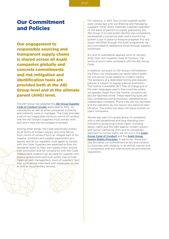# Our Commitment and Policies

Our engagement to responsible sourcing and transparent supply chains is shared across all Asahi companies globally and concrete commitments and risk mitigation and identification tools are provided both at the AEI Group level and at the ultimate parent (AHG) level.

The AEI Group has adopted the **[AEI Group Supplier](https://www.asahiinternational.com/media/1313/aei_code-of-conduct-_-supplier.pdf)** [Code of Conduct \(Code\)](https://www.asahiinternational.com/media/1313/aei_code-of-conduct-_-supplier.pdf) applicable to AEIL, its subsidiaries as well as other companies it directly and indirectly owns or manages. The Code provides a set of non-negotiable minimum norms of conduct that the AEI Group's suppliers must comply with, and which they are encouraged to exceed.

Among other things, the Code specifically prohibits all forms of modern slavery and child labour. Such norms of conduct form an integral part of our supplier contracts and supplier assessment processes, and all our suppliers must agree to comply with the Code. Suppliers are expected to flow the standards down to their own supply chain, ensure their promotion and full compliance with the Code. Independent auditors can be used for supplier compliance assessments and such audits may include meetings with management, tours of suppliers' facilities, confidential interviews with employees on site as well as documentary reviews.

For instance, in 2021, four on-site supplier audits were conducted with our Brewing and Packaging suppliers. Other direct materials suppliers operated on the basis of permits to supply granted by the AEI Group. If on-site audits identify non-compliance, we establish a corrective plan, and a monitoring system is put in place to measure progress. For any issues identified through the audit programme, we are committed to addressing these through supplier workshops.

AIL and its subsidiaries applied, prior to January 2022, their own Supplier Code of Conduct, the terms of which were consistent with the AEI Group Code.

In addition, pursuant to AEI Group's Whistleblowing Policy, our employees can easily report potential and actual issues related to modern slavery. The existence of a dedicated hotline and relevant policies is subject to regular internal promotion. The hotline is available 24/7, free of charge and in the main languages used in the countries where we operate. Apart from the hotline, concerns can also be reported online. These reporting tools are fully confidential and anonymous, operated by an independent company. Phone calls are not recorded and the operators do not require any personal identification. The online tool does not place cookies on users' computers.

We are also part of a global group of companies with a well-established and long-standing commitment to protecting human rights, including labour rights and the fight against modern slavery and human trafficking. AGH and its companies' approach to human rights are set out in the [Asahi](https://www.asahigroup-holdings.com/en/company/policy/group_policy.html) [Group Code of Conduct](https://www.asahigroup-holdings.com/en/company/policy/group_policy.html) and the [Asahi Group](https://www.asahigroup-holdings.com/en/csr/society/humanrights.html)  [Human Rights Principles](https://www.asahigroup-holdings.com/en/csr/society/humanrights.html). In particular, these policies formalize our commitment to act and conduct our business with integrity, in an ethical manner and in compliance with our internal policies and external regulations.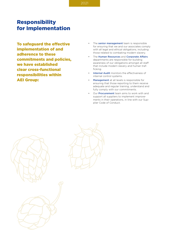# Responsibility for Implementation

To safeguard the effective implementation of and adherence to these commitments and policies, we have established clear cross-functional responsibilities within AEI Group:

- The **senior management** team is responsible for ensuring that we and our associates comply with all legal and ethical obligations, including those related to combating modern slavery.
- The Human Resources and Corporate Affairs departments are responsible for building awareness of our obligations amongst all staff that include modern slavery and human trafficking.
- Internal Audit monitors the effectiveness of internal control systems.
- Management at all levels is responsible for ensuring that those reporting to them receive adequate and regular training, understand and fully comply with our commitments.
- Our **Procurement** team aims to work with and support all suppliers to implement improvements in their operations, in line with our Supplier Code of Conduct.